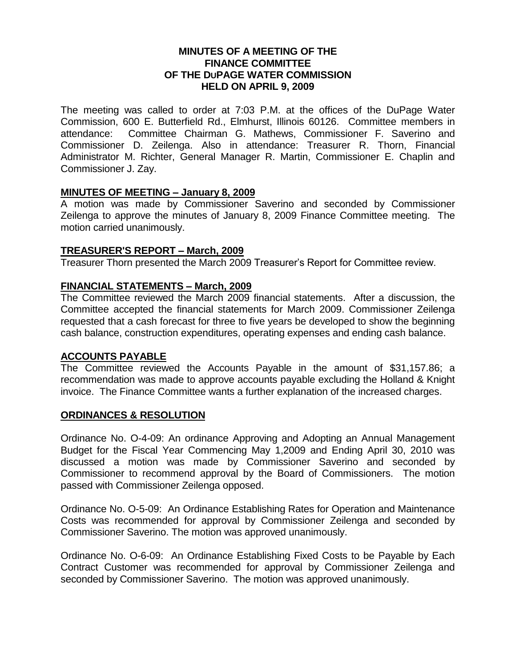## **MINUTES OF A MEETING OF THE FINANCE COMMITTEE OF THE DUPAGE WATER COMMISSION HELD ON APRIL 9, 2009**

The meeting was called to order at 7:03 P.M. at the offices of the DuPage Water Commission, 600 E. Butterfield Rd., Elmhurst, Illinois 60126. Committee members in attendance: Committee Chairman G. Mathews, Commissioner F. Saverino and Commissioner D. Zeilenga. Also in attendance: Treasurer R. Thorn, Financial Administrator M. Richter, General Manager R. Martin, Commissioner E. Chaplin and Commissioner J. Zay.

## **MINUTES OF MEETING – January 8, 2009**

A motion was made by Commissioner Saverino and seconded by Commissioner Zeilenga to approve the minutes of January 8, 2009 Finance Committee meeting. The motion carried unanimously.

#### **TREASURER'S REPORT – March, 2009**

Treasurer Thorn presented the March 2009 Treasurer's Report for Committee review.

## **FINANCIAL STATEMENTS – March, 2009**

The Committee reviewed the March 2009 financial statements. After a discussion, the Committee accepted the financial statements for March 2009. Commissioner Zeilenga requested that a cash forecast for three to five years be developed to show the beginning cash balance, construction expenditures, operating expenses and ending cash balance.

#### **ACCOUNTS PAYABLE**

The Committee reviewed the Accounts Payable in the amount of \$31,157.86; a recommendation was made to approve accounts payable excluding the Holland & Knight invoice. The Finance Committee wants a further explanation of the increased charges.

#### **ORDINANCES & RESOLUTION**

Ordinance No. O-4-09: An ordinance Approving and Adopting an Annual Management Budget for the Fiscal Year Commencing May 1,2009 and Ending April 30, 2010 was discussed a motion was made by Commissioner Saverino and seconded by Commissioner to recommend approval by the Board of Commissioners. The motion passed with Commissioner Zeilenga opposed.

Ordinance No. O-5-09: An Ordinance Establishing Rates for Operation and Maintenance Costs was recommended for approval by Commissioner Zeilenga and seconded by Commissioner Saverino. The motion was approved unanimously.

Ordinance No. O-6-09: An Ordinance Establishing Fixed Costs to be Payable by Each Contract Customer was recommended for approval by Commissioner Zeilenga and seconded by Commissioner Saverino. The motion was approved unanimously.